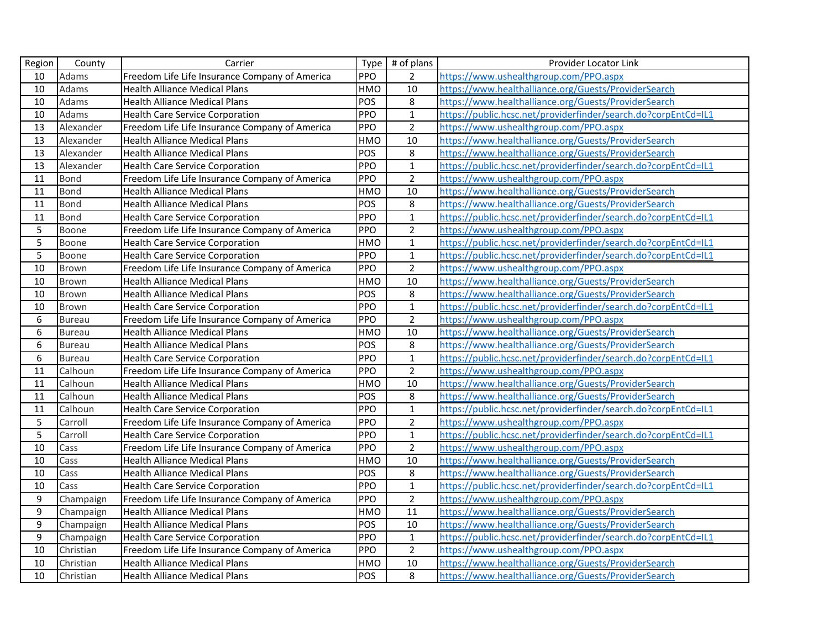| Region           | County        | Carrier                                        |            | Type $#$ of plans | Provider Locator Link                                          |
|------------------|---------------|------------------------------------------------|------------|-------------------|----------------------------------------------------------------|
| 10               | Adams         | Freedom Life Life Insurance Company of America | <b>PPO</b> | $\overline{2}$    | https://www.ushealthgroup.com/PPO.aspx                         |
| 10               | Adams         | <b>Health Alliance Medical Plans</b>           | <b>HMO</b> | 10                | https://www.healthalliance.org/Guests/ProviderSearch           |
| 10               | Adams         | <b>Health Alliance Medical Plans</b>           | POS        | 8                 | https://www.healthalliance.org/Guests/ProviderSearch           |
| 10               | Adams         | <b>Health Care Service Corporation</b>         | PPO        | $\mathbf{1}$      | https://public.hcsc.net/providerfinder/search.do?corpEntCd=IL1 |
| 13               | Alexander     | Freedom Life Life Insurance Company of America | PPO        | $\overline{2}$    | https://www.ushealthgroup.com/PPO.aspx                         |
| 13               | Alexander     | <b>Health Alliance Medical Plans</b>           | <b>HMO</b> | 10                | https://www.healthalliance.org/Guests/ProviderSearch           |
| 13               | Alexander     | <b>Health Alliance Medical Plans</b>           | POS        | $\,8\,$           | https://www.healthalliance.org/Guests/ProviderSearch           |
| 13               | Alexander     | <b>Health Care Service Corporation</b>         | PPO        | $\mathbf{1}$      | https://public.hcsc.net/providerfinder/search.do?corpEntCd=IL1 |
| 11               | Bond          | Freedom Life Life Insurance Company of America | <b>PPO</b> | $\overline{2}$    | https://www.ushealthgroup.com/PPO.aspx                         |
| 11               | Bond          | <b>Health Alliance Medical Plans</b>           | <b>HMO</b> | 10                | https://www.healthalliance.org/Guests/ProviderSearch           |
| 11               | Bond          | <b>Health Alliance Medical Plans</b>           | <b>POS</b> | $\,8\,$           | https://www.healthalliance.org/Guests/ProviderSearch           |
| 11               | <b>Bond</b>   | <b>Health Care Service Corporation</b>         | PPO        | $\mathbf 1$       | https://public.hcsc.net/providerfinder/search.do?corpEntCd=IL1 |
| 5                | Boone         | Freedom Life Life Insurance Company of America | PPO        | $\overline{2}$    | https://www.ushealthgroup.com/PPO.aspx                         |
| $\overline{5}$   | Boone         | <b>Health Care Service Corporation</b>         | HMO        | $\mathbf{1}$      | https://public.hcsc.net/providerfinder/search.do?corpEntCd=IL1 |
| 5                | Boone         | <b>Health Care Service Corporation</b>         | PPO        | $\mathbf 1$       | https://public.hcsc.net/providerfinder/search.do?corpEntCd=IL1 |
| 10               | Brown         | Freedom Life Life Insurance Company of America | PPO        | $\overline{2}$    | https://www.ushealthgroup.com/PPO.aspx                         |
| 10               | <b>Brown</b>  | <b>Health Alliance Medical Plans</b>           | <b>HMO</b> | 10                | https://www.healthalliance.org/Guests/ProviderSearch           |
| 10               | Brown         | <b>Health Alliance Medical Plans</b>           | POS        | $\,8\,$           | https://www.healthalliance.org/Guests/ProviderSearch           |
| 10               | Brown         | <b>Health Care Service Corporation</b>         | PPO        | $\mathbf{1}$      | https://public.hcsc.net/providerfinder/search.do?corpEntCd=IL1 |
| $\boldsymbol{6}$ | <b>Bureau</b> | Freedom Life Life Insurance Company of America | <b>PPO</b> | $\overline{2}$    | https://www.ushealthgroup.com/PPO.aspx                         |
| 6                | <b>Bureau</b> | <b>Health Alliance Medical Plans</b>           | <b>HMO</b> | 10                | https://www.healthalliance.org/Guests/ProviderSearch           |
| $\overline{6}$   | <b>Bureau</b> | <b>Health Alliance Medical Plans</b>           | <b>POS</b> | $\,8\,$           | https://www.healthalliance.org/Guests/ProviderSearch           |
| 6                | <b>Bureau</b> | <b>Health Care Service Corporation</b>         | PPO        | $\overline{1}$    | https://public.hcsc.net/providerfinder/search.do?corpEntCd=IL1 |
| 11               | Calhoun       | Freedom Life Life Insurance Company of America | PPO        | $\overline{2}$    | https://www.ushealthgroup.com/PPO.aspx                         |
| 11               | Calhoun       | <b>Health Alliance Medical Plans</b>           | HMO        | 10                | https://www.healthalliance.org/Guests/ProviderSearch           |
| 11               | Calhoun       | <b>Health Alliance Medical Plans</b>           | POS        | $\bf 8$           | https://www.healthalliance.org/Guests/ProviderSearch           |
| 11               | Calhoun       | <b>Health Care Service Corporation</b>         | PPO        | $\mathbf 1$       | https://public.hcsc.net/providerfinder/search.do?corpEntCd=IL1 |
| 5                | Carroll       | Freedom Life Life Insurance Company of America | PPO        | $\overline{2}$    | https://www.ushealthgroup.com/PPO.aspx                         |
| 5                | Carroll       | <b>Health Care Service Corporation</b>         | PPO        | $\mathbf{1}$      | https://public.hcsc.net/providerfinder/search.do?corpEntCd=IL1 |
| 10               | Cass          | Freedom Life Life Insurance Company of America | PPO        | $\overline{2}$    | https://www.ushealthgroup.com/PPO.aspx                         |
| 10               | Cass          | <b>Health Alliance Medical Plans</b>           | HMO        | 10                | https://www.healthalliance.org/Guests/ProviderSearch           |
| 10               | Cass          | <b>Health Alliance Medical Plans</b>           | POS        | 8                 | https://www.healthalliance.org/Guests/ProviderSearch           |
| 10               | Cass          | <b>Health Care Service Corporation</b>         | <b>PPO</b> | $\overline{1}$    | https://public.hcsc.net/providerfinder/search.do?corpEntCd=IL1 |
| 9                | Champaign     | Freedom Life Life Insurance Company of America | PPO        | $\overline{2}$    | https://www.ushealthgroup.com/PPO.aspx                         |
| 9                | Champaign     | <b>Health Alliance Medical Plans</b>           | HMO        | 11                | https://www.healthalliance.org/Guests/ProviderSearch           |
| 9                | Champaign     | <b>Health Alliance Medical Plans</b>           | POS        | 10                | https://www.healthalliance.org/Guests/ProviderSearch           |
| 9                | Champaign     | <b>Health Care Service Corporation</b>         | PPO        | $\mathbf{1}$      | https://public.hcsc.net/providerfinder/search.do?corpEntCd=IL1 |
| 10               | Christian     | Freedom Life Life Insurance Company of America | <b>PPO</b> | $\overline{2}$    | https://www.ushealthgroup.com/PPO.aspx                         |
| 10               | Christian     | <b>Health Alliance Medical Plans</b>           | HMO        | 10                | https://www.healthalliance.org/Guests/ProviderSearch           |
| 10               | Christian     | <b>Health Alliance Medical Plans</b>           | POS        | $\overline{8}$    | https://www.healthalliance.org/Guests/ProviderSearch           |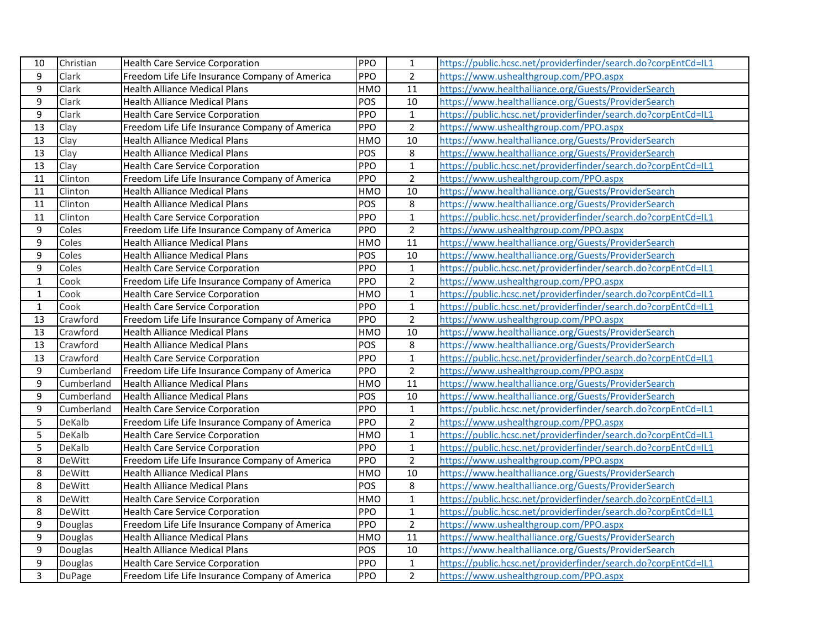| 10             | Christian     | <b>Health Care Service Corporation</b>         | <b>PPO</b> | $\mathbf{1}$    | https://public.hcsc.net/providerfinder/search.do?corpEntCd=IL1 |
|----------------|---------------|------------------------------------------------|------------|-----------------|----------------------------------------------------------------|
| 9              | Clark         | Freedom Life Life Insurance Company of America | PPO        | $\overline{2}$  | https://www.ushealthgroup.com/PPO.aspx                         |
| 9              | Clark         | <b>Health Alliance Medical Plans</b>           | <b>HMO</b> | 11              | https://www.healthalliance.org/Guests/ProviderSearch           |
| 9              | Clark         | <b>Health Alliance Medical Plans</b>           | POS        | 10              | https://www.healthalliance.org/Guests/ProviderSearch           |
| 9              | Clark         | <b>Health Care Service Corporation</b>         | PPO        | $\mathbf{1}$    | https://public.hcsc.net/providerfinder/search.do?corpEntCd=IL1 |
| 13             | Clay          | Freedom Life Life Insurance Company of America | PPO        | $\overline{2}$  | https://www.ushealthgroup.com/PPO.aspx                         |
| 13             | Clay          | <b>Health Alliance Medical Plans</b>           | <b>HMO</b> | $\overline{10}$ | https://www.healthalliance.org/Guests/ProviderSearch           |
| 13             | Clay          | <b>Health Alliance Medical Plans</b>           | POS        | 8               | https://www.healthalliance.org/Guests/ProviderSearch           |
| 13             | Clay          | <b>Health Care Service Corporation</b>         | PPO        | $\mathbf{1}$    | https://public.hcsc.net/providerfinder/search.do?corpEntCd=IL1 |
| 11             | Clinton       | Freedom Life Life Insurance Company of America | PPO        | $\overline{2}$  | https://www.ushealthgroup.com/PPO.aspx                         |
| 11             | Clinton       | <b>Health Alliance Medical Plans</b>           | <b>HMO</b> | 10              | https://www.healthalliance.org/Guests/ProviderSearch           |
| 11             | Clinton       | <b>Health Alliance Medical Plans</b>           | POS        | $\bf 8$         | https://www.healthalliance.org/Guests/ProviderSearch           |
| 11             | Clinton       | <b>Health Care Service Corporation</b>         | PPO        | $\mathbf 1$     | https://public.hcsc.net/providerfinder/search.do?corpEntCd=IL1 |
| 9              | Coles         | Freedom Life Life Insurance Company of America | PPO        | $\mathbf 2$     | https://www.ushealthgroup.com/PPO.aspx                         |
| $\overline{9}$ | Coles         | <b>Health Alliance Medical Plans</b>           | <b>HMO</b> | $\overline{11}$ | https://www.healthalliance.org/Guests/ProviderSearch           |
| 9              | Coles         | <b>Health Alliance Medical Plans</b>           | POS        | 10              | https://www.healthalliance.org/Guests/ProviderSearch           |
| 9              | Coles         | <b>Health Care Service Corporation</b>         | PPO        | $\mathbf{1}$    | https://public.hcsc.net/providerfinder/search.do?corpEntCd=IL1 |
| $\mathbf{1}$   | Cook          | Freedom Life Life Insurance Company of America | PPO        | $\overline{2}$  | https://www.ushealthgroup.com/PPO.aspx                         |
| $\mathbf{1}$   | Cook          | <b>Health Care Service Corporation</b>         | <b>HMO</b> | $\mathbf{1}$    | https://public.hcsc.net/providerfinder/search.do?corpEntCd=IL1 |
| $\mathbf{1}$   | Cook          | <b>Health Care Service Corporation</b>         | PPO        | $\mathbf{1}$    | https://public.hcsc.net/providerfinder/search.do?corpEntCd=IL1 |
| 13             | Crawford      | Freedom Life Life Insurance Company of America | PPO        | $\overline{2}$  | https://www.ushealthgroup.com/PPO.aspx                         |
| 13             | Crawford      | <b>Health Alliance Medical Plans</b>           | <b>HMO</b> | 10              | https://www.healthalliance.org/Guests/ProviderSearch           |
| 13             | Crawford      | <b>Health Alliance Medical Plans</b>           | POS        | 8               | https://www.healthalliance.org/Guests/ProviderSearch           |
| 13             | Crawford      | <b>Health Care Service Corporation</b>         | PPO        | $\overline{1}$  | https://public.hcsc.net/providerfinder/search.do?corpEntCd=IL1 |
| 9              | Cumberland    | Freedom Life Life Insurance Company of America | PPO        | $\mathbf 2$     | https://www.ushealthgroup.com/PPO.aspx                         |
| 9              | Cumberland    | <b>Health Alliance Medical Plans</b>           | <b>HMO</b> | $\overline{11}$ | https://www.healthalliance.org/Guests/ProviderSearch           |
| 9              | Cumberland    | <b>Health Alliance Medical Plans</b>           | POS        | 10              | https://www.healthalliance.org/Guests/ProviderSearch           |
| 9              | Cumberland    | <b>Health Care Service Corporation</b>         | PPO        | $\mathbf{1}$    | https://public.hcsc.net/providerfinder/search.do?corpEntCd=IL1 |
| 5              | DeKalb        | Freedom Life Life Insurance Company of America | PPO        | $\overline{2}$  | https://www.ushealthgroup.com/PPO.aspx                         |
| 5              | DeKalb        | <b>Health Care Service Corporation</b>         | <b>HMO</b> | $\mathbf{1}$    | https://public.hcsc.net/providerfinder/search.do?corpEntCd=IL1 |
| 5              | DeKalb        | <b>Health Care Service Corporation</b>         | PPO        | $\mathbf{1}$    | https://public.hcsc.net/providerfinder/search.do?corpEntCd=IL1 |
| 8              | DeWitt        | Freedom Life Life Insurance Company of America | PPO        | $\overline{2}$  | https://www.ushealthgroup.com/PPO.aspx                         |
| 8              | DeWitt        | <b>Health Alliance Medical Plans</b>           | <b>HMO</b> | 10              | https://www.healthalliance.org/Guests/ProviderSearch           |
| 8              | DeWitt        | <b>Health Alliance Medical Plans</b>           | <b>POS</b> | $\,8\,$         | https://www.healthalliance.org/Guests/ProviderSearch           |
| 8              | DeWitt        | <b>Health Care Service Corporation</b>         | <b>HMO</b> | $\mathbf{1}$    | https://public.hcsc.net/providerfinder/search.do?corpEntCd=IL1 |
| 8              | DeWitt        | <b>Health Care Service Corporation</b>         | PPO        | $\mathbf 1$     | https://public.hcsc.net/providerfinder/search.do?corpEntCd=IL1 |
| 9              | Douglas       | Freedom Life Life Insurance Company of America | PPO        | $\overline{2}$  | https://www.ushealthgroup.com/PPO.aspx                         |
| 9              | Douglas       | <b>Health Alliance Medical Plans</b>           | <b>HMO</b> | 11              | https://www.healthalliance.org/Guests/ProviderSearch           |
| 9              | Douglas       | <b>Health Alliance Medical Plans</b>           | POS        | 10              | https://www.healthalliance.org/Guests/ProviderSearch           |
| 9              | Douglas       | <b>Health Care Service Corporation</b>         | <b>PPO</b> | $\mathbf{1}$    | https://public.hcsc.net/providerfinder/search.do?corpEntCd=IL1 |
| $\overline{3}$ | <b>DuPage</b> | Freedom Life Life Insurance Company of America | PPO        | $\overline{2}$  | https://www.ushealthgroup.com/PPO.aspx                         |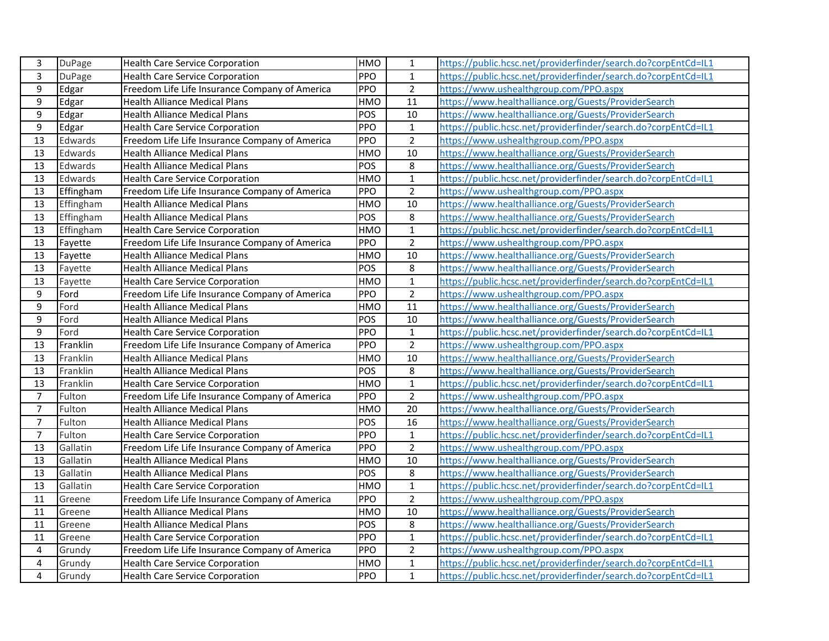| 3                       | <b>DuPage</b> | <b>Health Care Service Corporation</b>         | <b>HMO</b> | 1               | https://public.hcsc.net/providerfinder/search.do?corpEntCd=IL1 |
|-------------------------|---------------|------------------------------------------------|------------|-----------------|----------------------------------------------------------------|
| 3                       | <b>DuPage</b> | <b>Health Care Service Corporation</b>         | PPO        | $\mathbf{1}$    | https://public.hcsc.net/providerfinder/search.do?corpEntCd=IL1 |
| $\boldsymbol{9}$        | Edgar         | Freedom Life Life Insurance Company of America | PPO        | $\overline{2}$  | https://www.ushealthgroup.com/PPO.aspx                         |
| $\overline{9}$          | Edgar         | <b>Health Alliance Medical Plans</b>           | HMO        | 11              | https://www.healthalliance.org/Guests/ProviderSearch           |
| 9                       | Edgar         | <b>Health Alliance Medical Plans</b>           | POS        | 10              | https://www.healthalliance.org/Guests/ProviderSearch           |
| 9                       | Edgar         | <b>Health Care Service Corporation</b>         | PPO        | $\mathbf{1}$    | https://public.hcsc.net/providerfinder/search.do?corpEntCd=IL1 |
| 13                      | Edwards       | Freedom Life Life Insurance Company of America | PPO        | $\overline{2}$  | https://www.ushealthgroup.com/PPO.aspx                         |
| 13                      | Edwards       | <b>Health Alliance Medical Plans</b>           | <b>HMO</b> | 10              | https://www.healthalliance.org/Guests/ProviderSearch           |
| 13                      | Edwards       | <b>Health Alliance Medical Plans</b>           | POS        | 8               | https://www.healthalliance.org/Guests/ProviderSearch           |
| 13                      | Edwards       | <b>Health Care Service Corporation</b>         | HMO        | $\mathbf 1$     | https://public.hcsc.net/providerfinder/search.do?corpEntCd=IL1 |
| 13                      | Effingham     | Freedom Life Life Insurance Company of America | PPO        | $\overline{2}$  | https://www.ushealthgroup.com/PPO.aspx                         |
| 13                      | Effingham     | <b>Health Alliance Medical Plans</b>           | HMO        | 10              | https://www.healthalliance.org/Guests/ProviderSearch           |
| 13                      | Effingham     | <b>Health Alliance Medical Plans</b>           | POS        | 8               | https://www.healthalliance.org/Guests/ProviderSearch           |
| 13                      | Effingham     | <b>Health Care Service Corporation</b>         | HMO        | $\mathbf 1$     | https://public.hcsc.net/providerfinder/search.do?corpEntCd=IL1 |
| 13                      | Fayette       | Freedom Life Life Insurance Company of America | PPO        | $\overline{2}$  | https://www.ushealthgroup.com/PPO.aspx                         |
| 13                      | Fayette       | <b>Health Alliance Medical Plans</b>           | HMO        | 10              | https://www.healthalliance.org/Guests/ProviderSearch           |
| 13                      | Fayette       | <b>Health Alliance Medical Plans</b>           | POS        | 8               | https://www.healthalliance.org/Guests/ProviderSearch           |
| 13                      | Fayette       | <b>Health Care Service Corporation</b>         | HMO        | $\mathbf{1}$    | https://public.hcsc.net/providerfinder/search.do?corpEntCd=IL1 |
| $\boldsymbol{9}$        | Ford          | Freedom Life Life Insurance Company of America | PPO        | $\overline{2}$  | https://www.ushealthgroup.com/PPO.aspx                         |
| 9                       | Ford          | <b>Health Alliance Medical Plans</b>           | HMO        | $\overline{11}$ | https://www.healthalliance.org/Guests/ProviderSearch           |
| $\boldsymbol{9}$        | Ford          | <b>Health Alliance Medical Plans</b>           | POS        | 10              | https://www.healthalliance.org/Guests/ProviderSearch           |
| $\boldsymbol{9}$        | Ford          | <b>Health Care Service Corporation</b>         | PPO        | $\mathbf{1}$    | https://public.hcsc.net/providerfinder/search.do?corpEntCd=IL1 |
| 13                      | Franklin      | Freedom Life Life Insurance Company of America | PPO        | $\overline{2}$  | https://www.ushealthgroup.com/PPO.aspx                         |
| 13                      | Franklin      | <b>Health Alliance Medical Plans</b>           | HMO        | 10              | https://www.healthalliance.org/Guests/ProviderSearch           |
| 13                      | Franklin      | <b>Health Alliance Medical Plans</b>           | POS        | 8               | https://www.healthalliance.org/Guests/ProviderSearch           |
| 13                      | Franklin      | <b>Health Care Service Corporation</b>         | <b>HMO</b> | $\mathbf 1$     | https://public.hcsc.net/providerfinder/search.do?corpEntCd=IL1 |
| $\overline{7}$          | Fulton        | Freedom Life Life Insurance Company of America | PPO        | $\overline{2}$  | https://www.ushealthgroup.com/PPO.aspx                         |
| $\overline{7}$          | Fulton        | Health Alliance Medical Plans                  | HMO        | 20              | https://www.healthalliance.org/Guests/ProviderSearch           |
| $\overline{7}$          | Fulton        | <b>Health Alliance Medical Plans</b>           | POS        | 16              | https://www.healthalliance.org/Guests/ProviderSearch           |
| $\overline{7}$          | Fulton        | <b>Health Care Service Corporation</b>         | PPO        | $\mathbf{1}$    | https://public.hcsc.net/providerfinder/search.do?corpEntCd=IL1 |
| 13                      | Gallatin      | Freedom Life Life Insurance Company of America | PPO        | $\overline{2}$  | https://www.ushealthgroup.com/PPO.aspx                         |
| 13                      | Gallatin      | <b>Health Alliance Medical Plans</b>           | <b>HMO</b> | 10              | https://www.healthalliance.org/Guests/ProviderSearch           |
| 13                      | Gallatin      | <b>Health Alliance Medical Plans</b>           | POS        | 8               | https://www.healthalliance.org/Guests/ProviderSearch           |
| 13                      | Gallatin      | <b>Health Care Service Corporation</b>         | HMO        | $\mathbf 1$     | https://public.hcsc.net/providerfinder/search.do?corpEntCd=IL1 |
| 11                      | Greene        | Freedom Life Life Insurance Company of America | PPO        | $\overline{2}$  | https://www.ushealthgroup.com/PPO.aspx                         |
| 11                      | Greene        | <b>Health Alliance Medical Plans</b>           | HMO        | 10              | https://www.healthalliance.org/Guests/ProviderSearch           |
| 11                      | Greene        | <b>Health Alliance Medical Plans</b>           | <b>POS</b> | 8               | https://www.healthalliance.org/Guests/ProviderSearch           |
| 11                      | Greene        | <b>Health Care Service Corporation</b>         | PPO        | $\mathbf{1}$    | https://public.hcsc.net/providerfinder/search.do?corpEntCd=IL1 |
| $\overline{a}$          | Grundy        | Freedom Life Life Insurance Company of America | PPO        | $\overline{2}$  | https://www.ushealthgroup.com/PPO.aspx                         |
| $\overline{\mathbf{4}}$ | Grundy        | <b>Health Care Service Corporation</b>         | HMO        | $\mathbf{1}$    | https://public.hcsc.net/providerfinder/search.do?corpEntCd=IL1 |
| $\overline{4}$          | Grundy        | <b>Health Care Service Corporation</b>         | PPO        | $\mathbf{1}$    | https://public.hcsc.net/providerfinder/search.do?corpEntCd=IL1 |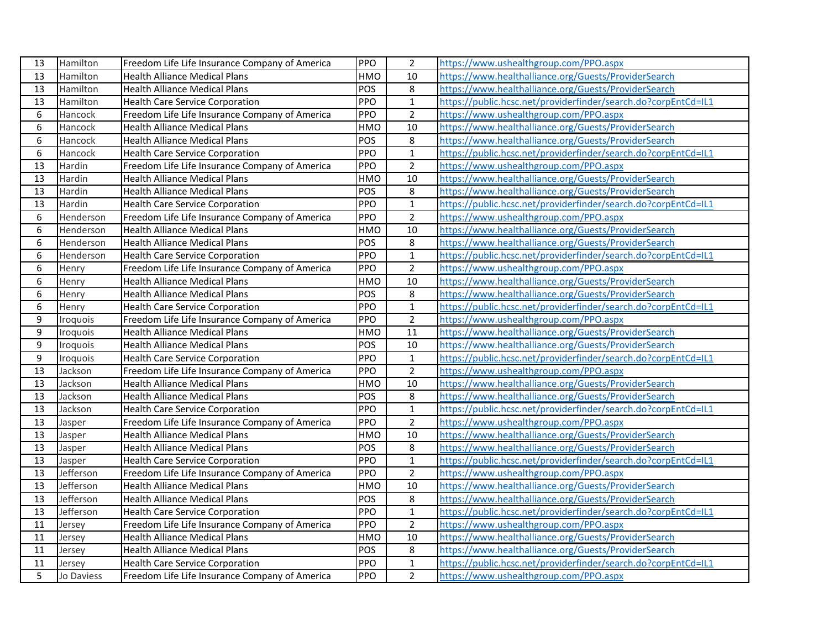| 13               | Hamilton   | Freedom Life Life Insurance Company of America | PPO        | $\overline{2}$ | https://www.ushealthgroup.com/PPO.aspx                         |
|------------------|------------|------------------------------------------------|------------|----------------|----------------------------------------------------------------|
| 13               | Hamilton   | <b>Health Alliance Medical Plans</b>           | <b>HMO</b> | 10             | https://www.healthalliance.org/Guests/ProviderSearch           |
| 13               | Hamilton   | <b>Health Alliance Medical Plans</b>           | POS        | 8              | https://www.healthalliance.org/Guests/ProviderSearch           |
| 13               | Hamilton   | <b>Health Care Service Corporation</b>         | PPO        | $\mathbf{1}$   | https://public.hcsc.net/providerfinder/search.do?corpEntCd=IL1 |
| 6                | Hancock    | Freedom Life Life Insurance Company of America | <b>PPO</b> | $\overline{2}$ | https://www.ushealthgroup.com/PPO.aspx                         |
| 6                | Hancock    | <b>Health Alliance Medical Plans</b>           | HMO        | 10             | https://www.healthalliance.org/Guests/ProviderSearch           |
| 6                | Hancock    | <b>Health Alliance Medical Plans</b>           | POS        | 8              | https://www.healthalliance.org/Guests/ProviderSearch           |
| 6                | Hancock    | <b>Health Care Service Corporation</b>         | PPO        | $\mathbf 1$    | https://public.hcsc.net/providerfinder/search.do?corpEntCd=IL1 |
| 13               | Hardin     | Freedom Life Life Insurance Company of America | <b>PPO</b> | $\overline{2}$ | https://www.ushealthgroup.com/PPO.aspx                         |
| 13               | Hardin     | <b>Health Alliance Medical Plans</b>           | HMO        | 10             | https://www.healthalliance.org/Guests/ProviderSearch           |
| 13               | Hardin     | <b>Health Alliance Medical Plans</b>           | POS        | 8              | https://www.healthalliance.org/Guests/ProviderSearch           |
| 13               | Hardin     | <b>Health Care Service Corporation</b>         | PPO        | $\mathbf 1$    | https://public.hcsc.net/providerfinder/search.do?corpEntCd=IL1 |
| 6                | Henderson  | Freedom Life Life Insurance Company of America | PPO        | $\overline{2}$ | https://www.ushealthgroup.com/PPO.aspx                         |
| 6                | Henderson  | <b>Health Alliance Medical Plans</b>           | HMO        | 10             | https://www.healthalliance.org/Guests/ProviderSearch           |
| 6                | Henderson  | <b>Health Alliance Medical Plans</b>           | POS        | 8              | https://www.healthalliance.org/Guests/ProviderSearch           |
| 6                | Henderson  | <b>Health Care Service Corporation</b>         | PPO        | $\mathbf{1}$   | https://public.hcsc.net/providerfinder/search.do?corpEntCd=IL1 |
| 6                | Henry      | Freedom Life Life Insurance Company of America | PPO        | $\overline{2}$ | https://www.ushealthgroup.com/PPO.aspx                         |
| 6                | Henry      | <b>Health Alliance Medical Plans</b>           | <b>HMO</b> | 10             | https://www.healthalliance.org/Guests/ProviderSearch           |
| 6                | Henry      | <b>Health Alliance Medical Plans</b>           | POS        | $\bf 8$        | https://www.healthalliance.org/Guests/ProviderSearch           |
| 6                | Henry      | <b>Health Care Service Corporation</b>         | <b>PPO</b> | $\mathbf{1}$   | https://public.hcsc.net/providerfinder/search.do?corpEntCd=IL1 |
| 9                | Iroquois   | Freedom Life Life Insurance Company of America | PPO        | $\overline{2}$ | https://www.ushealthgroup.com/PPO.aspx                         |
| $\boldsymbol{9}$ | Iroquois   | <b>Health Alliance Medical Plans</b>           | HMO        | 11             | https://www.healthalliance.org/Guests/ProviderSearch           |
| 9                | Iroquois   | <b>Health Alliance Medical Plans</b>           | <b>POS</b> | 10             | https://www.healthalliance.org/Guests/ProviderSearch           |
| 9                | Iroquois   | <b>Health Care Service Corporation</b>         | PPO        | $\mathbf{1}$   | https://public.hcsc.net/providerfinder/search.do?corpEntCd=IL1 |
| 13               | Jackson    | Freedom Life Life Insurance Company of America | PPO        | $\overline{2}$ | https://www.ushealthgroup.com/PPO.aspx                         |
| 13               | Jackson    | <b>Health Alliance Medical Plans</b>           | HMO        | 10             | https://www.healthalliance.org/Guests/ProviderSearch           |
| 13               | Jackson    | <b>Health Alliance Medical Plans</b>           | POS        | $\,8\,$        | https://www.healthalliance.org/Guests/ProviderSearch           |
| 13               | Jackson    | <b>Health Care Service Corporation</b>         | PPO        | $\mathbf 1$    | https://public.hcsc.net/providerfinder/search.do?corpEntCd=IL1 |
| 13               | Jasper     | Freedom Life Life Insurance Company of America | PPO        | $\overline{2}$ | https://www.ushealthgroup.com/PPO.aspx                         |
| 13               | Jasper     | <b>Health Alliance Medical Plans</b>           | HMO        | 10             | https://www.healthalliance.org/Guests/ProviderSearch           |
| 13               | Jasper     | <b>Health Alliance Medical Plans</b>           | POS        | 8              | https://www.healthalliance.org/Guests/ProviderSearch           |
| 13               | Jasper     | <b>Health Care Service Corporation</b>         | PPO        | $\mathbf 1$    | https://public.hcsc.net/providerfinder/search.do?corpEntCd=IL1 |
| 13               | Jefferson  | Freedom Life Life Insurance Company of America | PPO        | $\overline{2}$ | https://www.ushealthgroup.com/PPO.aspx                         |
| 13               | Jefferson  | Health Alliance Medical Plans                  | HMO        | 10             | https://www.healthalliance.org/Guests/ProviderSearch           |
| 13               | Jefferson  | <b>Health Alliance Medical Plans</b>           | POS        | 8              | https://www.healthalliance.org/Guests/ProviderSearch           |
| 13               | Jefferson  | <b>Health Care Service Corporation</b>         | PPO        | $\mathbf 1$    | https://public.hcsc.net/providerfinder/search.do?corpEntCd=IL1 |
| 11               | Jersey     | Freedom Life Life Insurance Company of America | PPO        | $\overline{2}$ | https://www.ushealthgroup.com/PPO.aspx                         |
| 11               | Jersey     | <b>Health Alliance Medical Plans</b>           | HMO        | 10             | https://www.healthalliance.org/Guests/ProviderSearch           |
| 11               | Jersey     | <b>Health Alliance Medical Plans</b>           | POS        | 8              | https://www.healthalliance.org/Guests/ProviderSearch           |
| 11               | Jersey     | <b>Health Care Service Corporation</b>         | PPO        | $\mathbf{1}$   | https://public.hcsc.net/providerfinder/search.do?corpEntCd=IL1 |
| 5                | Jo Daviess | Freedom Life Life Insurance Company of America | PPO        | $\overline{2}$ | https://www.ushealthgroup.com/PPO.aspx                         |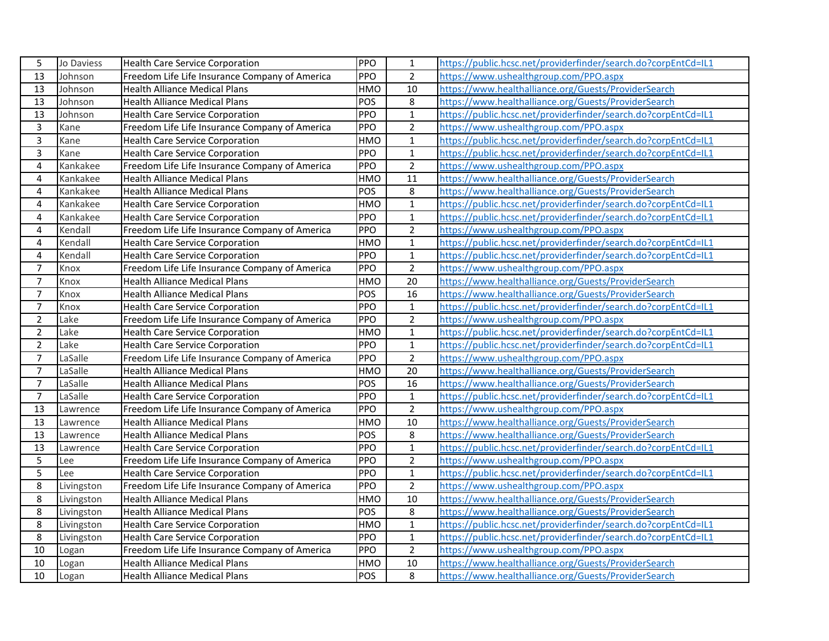| 5                       | Jo Daviess | <b>Health Care Service Corporation</b>         | PPO        | 1              | https://public.hcsc.net/providerfinder/search.do?corpEntCd=IL1 |
|-------------------------|------------|------------------------------------------------|------------|----------------|----------------------------------------------------------------|
| 13                      | Johnson    | Freedom Life Life Insurance Company of America | PPO        | $\overline{2}$ | https://www.ushealthgroup.com/PPO.aspx                         |
| 13                      | Johnson    | <b>Health Alliance Medical Plans</b>           | HMO        | 10             | https://www.healthalliance.org/Guests/ProviderSearch           |
| 13                      | Johnson    | <b>Health Alliance Medical Plans</b>           | POS        | 8              | https://www.healthalliance.org/Guests/ProviderSearch           |
| 13                      | Johnson    | <b>Health Care Service Corporation</b>         | PPO        | $\mathbf{1}$   | https://public.hcsc.net/providerfinder/search.do?corpEntCd=IL1 |
| 3                       | Kane       | Freedom Life Life Insurance Company of America | PPO        | $\overline{2}$ | https://www.ushealthgroup.com/PPO.aspx                         |
| $\overline{3}$          | Kane       | <b>Health Care Service Corporation</b>         | HMO        | $\mathbf{1}$   | https://public.hcsc.net/providerfinder/search.do?corpEntCd=IL1 |
| $\overline{3}$          | Kane       | <b>Health Care Service Corporation</b>         | PPO        | $\mathbf{1}$   | https://public.hcsc.net/providerfinder/search.do?corpEntCd=IL1 |
| $\overline{4}$          | Kankakee   | Freedom Life Life Insurance Company of America | PPO        | $\overline{2}$ | https://www.ushealthgroup.com/PPO.aspx                         |
| $\overline{\mathbf{4}}$ | Kankakee   | <b>Health Alliance Medical Plans</b>           | HMO        | 11             | https://www.healthalliance.org/Guests/ProviderSearch           |
| 4                       | Kankakee   | <b>Health Alliance Medical Plans</b>           | POS        | 8              | https://www.healthalliance.org/Guests/ProviderSearch           |
| $\overline{4}$          | Kankakee   | <b>Health Care Service Corporation</b>         | HMO        | $\mathbf 1$    | https://public.hcsc.net/providerfinder/search.do?corpEntCd=IL1 |
| $\overline{4}$          | Kankakee   | <b>Health Care Service Corporation</b>         | PPO        | $\mathbf{1}$   | https://public.hcsc.net/providerfinder/search.do?corpEntCd=IL1 |
| 4                       | Kendall    | Freedom Life Life Insurance Company of America | PPO        | $\overline{2}$ | https://www.ushealthgroup.com/PPO.aspx                         |
| 4                       | Kendall    | Health Care Service Corporation                | HMO        | $\mathbf{1}$   | https://public.hcsc.net/providerfinder/search.do?corpEntCd=IL1 |
| $\overline{4}$          | Kendall    | <b>Health Care Service Corporation</b>         | PPO        | $\mathbf{1}$   | https://public.hcsc.net/providerfinder/search.do?corpEntCd=IL1 |
| $\overline{7}$          | Knox       | Freedom Life Life Insurance Company of America | PPO        | $\overline{2}$ | https://www.ushealthgroup.com/PPO.aspx                         |
| $\overline{7}$          | Knox       | <b>Health Alliance Medical Plans</b>           | HMO        | 20             | https://www.healthalliance.org/Guests/ProviderSearch           |
| $\overline{7}$          | Knox       | <b>Health Alliance Medical Plans</b>           | POS        | 16             | https://www.healthalliance.org/Guests/ProviderSearch           |
| $\overline{7}$          | Knox       | <b>Health Care Service Corporation</b>         | PPO        | $\mathbf{1}$   | https://public.hcsc.net/providerfinder/search.do?corpEntCd=IL1 |
| $\overline{2}$          | Lake       | Freedom Life Life Insurance Company of America | PPO        | $\overline{2}$ | https://www.ushealthgroup.com/PPO.aspx                         |
| $\overline{2}$          | Lake       | <b>Health Care Service Corporation</b>         | HMO        | $\mathbf{1}$   | https://public.hcsc.net/providerfinder/search.do?corpEntCd=IL1 |
| $\overline{2}$          | Lake       | <b>Health Care Service Corporation</b>         | PPO        | $\mathbf 1$    | https://public.hcsc.net/providerfinder/search.do?corpEntCd=IL1 |
| $\overline{7}$          | LaSalle    | Freedom Life Life Insurance Company of America | PPO        | $\overline{2}$ | https://www.ushealthgroup.com/PPO.aspx                         |
| $\overline{7}$          | LaSalle    | <b>Health Alliance Medical Plans</b>           | HMO        | 20             | https://www.healthalliance.org/Guests/ProviderSearch           |
| $\overline{7}$          | LaSalle    | <b>Health Alliance Medical Plans</b>           | <b>POS</b> | 16             | https://www.healthalliance.org/Guests/ProviderSearch           |
| $\overline{7}$          | LaSalle    | <b>Health Care Service Corporation</b>         | PPO        | $\mathbf{1}$   | https://public.hcsc.net/providerfinder/search.do?corpEntCd=IL1 |
| 13                      | Lawrence   | Freedom Life Life Insurance Company of America | PPO        | $\overline{2}$ | https://www.ushealthgroup.com/PPO.aspx                         |
| 13                      | Lawrence   | <b>Health Alliance Medical Plans</b>           | <b>HMO</b> | 10             | https://www.healthalliance.org/Guests/ProviderSearch           |
| 13                      | Lawrence   | <b>Health Alliance Medical Plans</b>           | POS        | 8              | https://www.healthalliance.org/Guests/ProviderSearch           |
| 13                      | Lawrence   | <b>Health Care Service Corporation</b>         | PPO        | $\mathbf{1}$   | https://public.hcsc.net/providerfinder/search.do?corpEntCd=IL1 |
| 5                       | Lee        | Freedom Life Life Insurance Company of America | PPO        | $\overline{2}$ | https://www.ushealthgroup.com/PPO.aspx                         |
| 5                       | Lee        | <b>Health Care Service Corporation</b>         | PPO        | $\mathbf{1}$   | https://public.hcsc.net/providerfinder/search.do?corpEntCd=IL1 |
| 8                       | Livingston | Freedom Life Life Insurance Company of America | PPO        | $\overline{2}$ | https://www.ushealthgroup.com/PPO.aspx                         |
| 8                       | Livingston | <b>Health Alliance Medical Plans</b>           | HMO        | 10             | https://www.healthalliance.org/Guests/ProviderSearch           |
| 8                       | Livingston | <b>Health Alliance Medical Plans</b>           | POS        | 8              | https://www.healthalliance.org/Guests/ProviderSearch           |
| 8                       | Livingston | <b>Health Care Service Corporation</b>         | <b>HMO</b> | $\overline{1}$ | https://public.hcsc.net/providerfinder/search.do?corpEntCd=IL1 |
| 8                       | Livingston | <b>Health Care Service Corporation</b>         | PPO        | $\mathbf{1}$   | https://public.hcsc.net/providerfinder/search.do?corpEntCd=IL1 |
| 10                      | Logan      | Freedom Life Life Insurance Company of America | <b>PPO</b> | $\overline{2}$ | https://www.ushealthgroup.com/PPO.aspx                         |
| 10                      | Logan      | <b>Health Alliance Medical Plans</b>           | HMO        | 10             | https://www.healthalliance.org/Guests/ProviderSearch           |
| 10                      | Logan      | <b>Health Alliance Medical Plans</b>           | POS        | 8              | https://www.healthalliance.org/Guests/ProviderSearch           |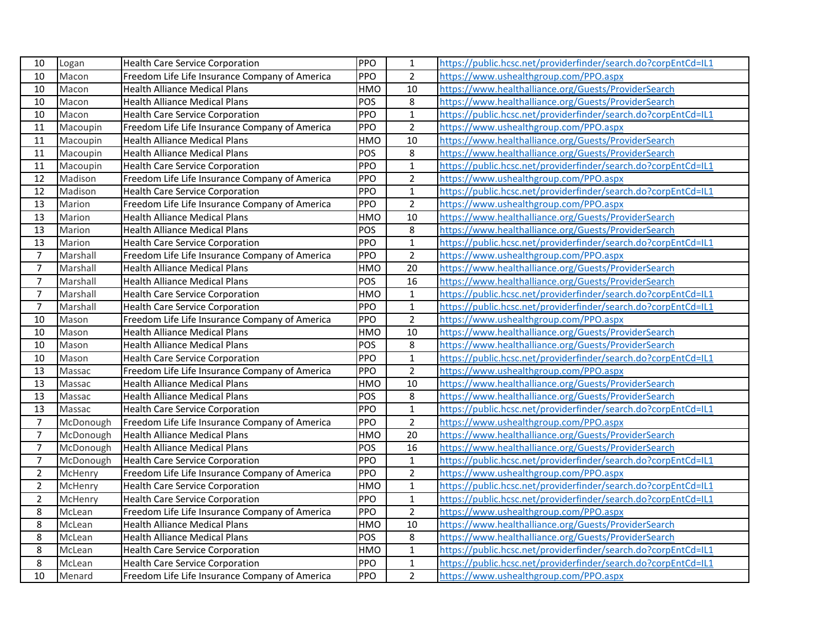| 10             | Logan     | <b>Health Care Service Corporation</b>         | PPO        | 1              | https://public.hcsc.net/providerfinder/search.do?corpEntCd=IL1 |
|----------------|-----------|------------------------------------------------|------------|----------------|----------------------------------------------------------------|
| 10             | Macon     | Freedom Life Life Insurance Company of America | PPO        | $\overline{2}$ | https://www.ushealthgroup.com/PPO.aspx                         |
| 10             | Macon     | <b>Health Alliance Medical Plans</b>           | HMO        | 10             | https://www.healthalliance.org/Guests/ProviderSearch           |
| 10             | Macon     | <b>Health Alliance Medical Plans</b>           | POS        | 8              | https://www.healthalliance.org/Guests/ProviderSearch           |
| 10             | Macon     | <b>Health Care Service Corporation</b>         | <b>PPO</b> | $\mathbf{1}$   | https://public.hcsc.net/providerfinder/search.do?corpEntCd=IL1 |
| 11             | Macoupin  | Freedom Life Life Insurance Company of America | PPO        | $\overline{2}$ | https://www.ushealthgroup.com/PPO.aspx                         |
| 11             | Macoupin  | <b>Health Alliance Medical Plans</b>           | HMO        | 10             | https://www.healthalliance.org/Guests/ProviderSearch           |
| 11             | Macoupin  | <b>Health Alliance Medical Plans</b>           | POS        | 8              | https://www.healthalliance.org/Guests/ProviderSearch           |
| 11             | Macoupin  | <b>Health Care Service Corporation</b>         | PPO        | $\mathbf 1$    | https://public.hcsc.net/providerfinder/search.do?corpEntCd=IL1 |
| 12             | Madison   | Freedom Life Life Insurance Company of America | PPO        | $\overline{2}$ | https://www.ushealthgroup.com/PPO.aspx                         |
| 12             | Madison   | <b>Health Care Service Corporation</b>         | PPO        | $\mathbf{1}$   | https://public.hcsc.net/providerfinder/search.do?corpEntCd=IL1 |
| 13             | Marion    | Freedom Life Life Insurance Company of America | PPO        | $\overline{2}$ | https://www.ushealthgroup.com/PPO.aspx                         |
| 13             | Marion    | <b>Health Alliance Medical Plans</b>           | HMO        | 10             | https://www.healthalliance.org/Guests/ProviderSearch           |
| 13             | Marion    | <b>Health Alliance Medical Plans</b>           | POS        | 8              | https://www.healthalliance.org/Guests/ProviderSearch           |
| 13             | Marion    | Health Care Service Corporation                | PPO        | $\mathbf{1}$   | https://public.hcsc.net/providerfinder/search.do?corpEntCd=IL1 |
| $\overline{7}$ | Marshall  | Freedom Life Life Insurance Company of America | PPO        | $\overline{2}$ | https://www.ushealthgroup.com/PPO.aspx                         |
| $\overline{7}$ | Marshall  | <b>Health Alliance Medical Plans</b>           | HMO        | 20             | https://www.healthalliance.org/Guests/ProviderSearch           |
| $\overline{7}$ | Marshall  | <b>Health Alliance Medical Plans</b>           | POS        | 16             | https://www.healthalliance.org/Guests/ProviderSearch           |
| $\overline{7}$ | Marshall  | <b>Health Care Service Corporation</b>         | HMO        | $\mathbf{1}$   | https://public.hcsc.net/providerfinder/search.do?corpEntCd=IL1 |
| $\overline{7}$ | Marshall  | <b>Health Care Service Corporation</b>         | PPO        | $\mathbf{1}$   | https://public.hcsc.net/providerfinder/search.do?corpEntCd=IL1 |
| $10\,$         | Mason     | Freedom Life Life Insurance Company of America | PPO        | $\overline{2}$ | https://www.ushealthgroup.com/PPO.aspx                         |
| 10             | Mason     | <b>Health Alliance Medical Plans</b>           | HMO        | 10             | https://www.healthalliance.org/Guests/ProviderSearch           |
| 10             | Mason     | <b>Health Alliance Medical Plans</b>           | <b>POS</b> | 8              | https://www.healthalliance.org/Guests/ProviderSearch           |
| 10             | Mason     | <b>Health Care Service Corporation</b>         | PPO        | $\mathbf{1}$   | https://public.hcsc.net/providerfinder/search.do?corpEntCd=IL1 |
| 13             | Massac    | Freedom Life Life Insurance Company of America | PPO        | $\overline{2}$ | https://www.ushealthgroup.com/PPO.aspx                         |
| 13             | Massac    | Health Alliance Medical Plans                  | HMO        | 10             | https://www.healthalliance.org/Guests/ProviderSearch           |
| 13             | Massac    | <b>Health Alliance Medical Plans</b>           | POS        | 8              | https://www.healthalliance.org/Guests/ProviderSearch           |
| 13             | Massac    | <b>Health Care Service Corporation</b>         | PPO        | $\mathbf{1}$   | https://public.hcsc.net/providerfinder/search.do?corpEntCd=IL1 |
| $\overline{7}$ | McDonough | Freedom Life Life Insurance Company of America | PPO        | $\overline{2}$ | https://www.ushealthgroup.com/PPO.aspx                         |
| $\overline{7}$ | McDonough | <b>Health Alliance Medical Plans</b>           | <b>HMO</b> | 20             | https://www.healthalliance.org/Guests/ProviderSearch           |
| $\overline{7}$ | McDonough | <b>Health Alliance Medical Plans</b>           | POS        | 16             | https://www.healthalliance.org/Guests/ProviderSearch           |
| $\overline{7}$ | McDonough | <b>Health Care Service Corporation</b>         | PPO        | $\mathbf 1$    | https://public.hcsc.net/providerfinder/search.do?corpEntCd=IL1 |
| $\overline{2}$ | McHenry   | Freedom Life Life Insurance Company of America | PPO        | $\overline{2}$ | https://www.ushealthgroup.com/PPO.aspx                         |
| $\overline{2}$ | McHenry   | <b>Health Care Service Corporation</b>         | HMO        | $\mathbf 1$    | https://public.hcsc.net/providerfinder/search.do?corpEntCd=IL1 |
| $\overline{2}$ | McHenry   | <b>Health Care Service Corporation</b>         | PPO        | $\mathbf{1}$   | https://public.hcsc.net/providerfinder/search.do?corpEntCd=IL1 |
| 8              | McLean    | Freedom Life Life Insurance Company of America | PPO        | $\overline{2}$ | https://www.ushealthgroup.com/PPO.aspx                         |
| 8              | McLean    | <b>Health Alliance Medical Plans</b>           | HMO        | 10             | https://www.healthalliance.org/Guests/ProviderSearch           |
| 8              | McLean    | <b>Health Alliance Medical Plans</b>           | POS        | 8              | https://www.healthalliance.org/Guests/ProviderSearch           |
| 8              | McLean    | <b>Health Care Service Corporation</b>         | HMO        | $\mathbf{1}$   | https://public.hcsc.net/providerfinder/search.do?corpEntCd=IL1 |
| 8              | McLean    | <b>Health Care Service Corporation</b>         | PPO        | $\mathbf{1}$   | https://public.hcsc.net/providerfinder/search.do?corpEntCd=IL1 |
| 10             | Menard    | Freedom Life Life Insurance Company of America | PPO        | $\overline{2}$ | https://www.ushealthgroup.com/PPO.aspx                         |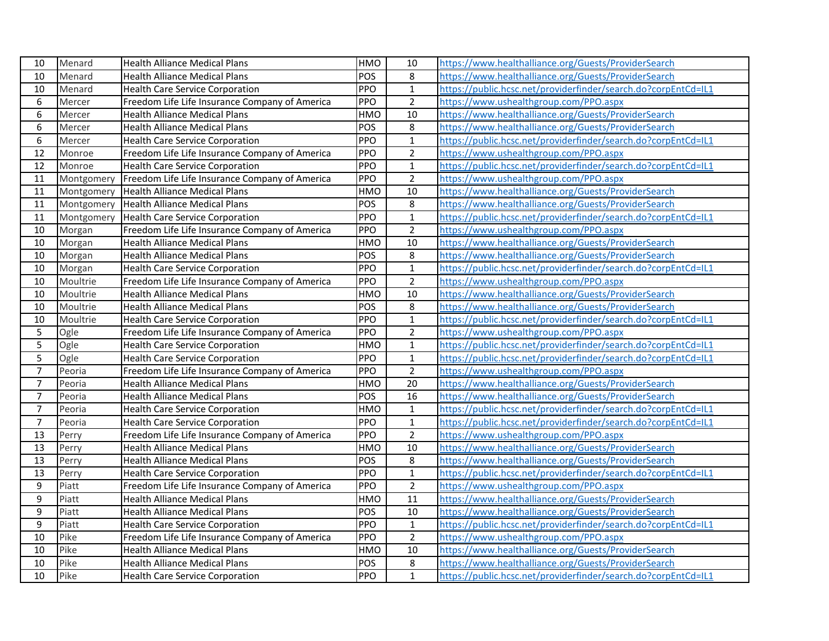| 10               | Menard     | <b>Health Alliance Medical Plans</b>           | <b>HMO</b> | 10              | https://www.healthalliance.org/Guests/ProviderSearch           |
|------------------|------------|------------------------------------------------|------------|-----------------|----------------------------------------------------------------|
| 10               | Menard     | <b>Health Alliance Medical Plans</b>           | POS        | 8               | https://www.healthalliance.org/Guests/ProviderSearch           |
| 10               | Menard     | <b>Health Care Service Corporation</b>         | PPO        | $\mathbf 1$     | https://public.hcsc.net/providerfinder/search.do?corpEntCd=IL1 |
| 6                | Mercer     | Freedom Life Life Insurance Company of America | PPO        | $\overline{2}$  | https://www.ushealthgroup.com/PPO.aspx                         |
| 6                | Mercer     | <b>Health Alliance Medical Plans</b>           | <b>HMO</b> | 10              | https://www.healthalliance.org/Guests/ProviderSearch           |
| $\overline{6}$   | Mercer     | <b>Health Alliance Medical Plans</b>           | POS        | $\,8\,$         | https://www.healthalliance.org/Guests/ProviderSearch           |
| 6                | Mercer     | <b>Health Care Service Corporation</b>         | PPO        | $\overline{1}$  | https://public.hcsc.net/providerfinder/search.do?corpEntCd=IL1 |
| 12               | Monroe     | Freedom Life Life Insurance Company of America | PPO        | $\overline{2}$  | https://www.ushealthgroup.com/PPO.aspx                         |
| 12               | Monroe     | <b>Health Care Service Corporation</b>         | PPO        | $\mathbf 1$     | https://public.hcsc.net/providerfinder/search.do?corpEntCd=IL1 |
| $11\,$           | Montgomery | Freedom Life Life Insurance Company of America | PPO        | $\overline{2}$  | https://www.ushealthgroup.com/PPO.aspx                         |
| 11               | Montgomery | <b>Health Alliance Medical Plans</b>           | <b>HMO</b> | 10              | https://www.healthalliance.org/Guests/ProviderSearch           |
| $11\,$           | Montgomery | Health Alliance Medical Plans                  | POS        | $\bf 8$         | https://www.healthalliance.org/Guests/ProviderSearch           |
| $11\,$           | Montgomery | Health Care Service Corporation                | PPO        | $\mathbf 1$     | https://public.hcsc.net/providerfinder/search.do?corpEntCd=IL1 |
| 10               | Morgan     | Freedom Life Life Insurance Company of America | PPO        | $\mathbf 2$     | https://www.ushealthgroup.com/PPO.aspx                         |
| 10               | Morgan     | <b>Health Alliance Medical Plans</b>           | <b>HMO</b> | $\overline{10}$ | https://www.healthalliance.org/Guests/ProviderSearch           |
| 10               | Morgan     | <b>Health Alliance Medical Plans</b>           | POS        | $\bf 8$         | https://www.healthalliance.org/Guests/ProviderSearch           |
| 10               | Morgan     | <b>Health Care Service Corporation</b>         | PPO        | $\mathbf{1}$    | https://public.hcsc.net/providerfinder/search.do?corpEntCd=IL1 |
| 10               | Moultrie   | Freedom Life Life Insurance Company of America | PPO        | $\overline{2}$  | https://www.ushealthgroup.com/PPO.aspx                         |
| 10               | Moultrie   | <b>Health Alliance Medical Plans</b>           | <b>HMO</b> | 10              | https://www.healthalliance.org/Guests/ProviderSearch           |
| 10               | Moultrie   | <b>Health Alliance Medical Plans</b>           | POS        | 8               | https://www.healthalliance.org/Guests/ProviderSearch           |
| 10               | Moultrie   | <b>Health Care Service Corporation</b>         | PPO        | $\mathbf 1$     | https://public.hcsc.net/providerfinder/search.do?corpEntCd=IL1 |
| 5                | Ogle       | Freedom Life Life Insurance Company of America | <b>PPO</b> | $\overline{2}$  | https://www.ushealthgroup.com/PPO.aspx                         |
| 5                | Ogle       | <b>Health Care Service Corporation</b>         | HMO        | $\mathbf 1$     | https://public.hcsc.net/providerfinder/search.do?corpEntCd=IL1 |
| 5                | Ogle       | <b>Health Care Service Corporation</b>         | PPO        | $\mathbf{1}$    | https://public.hcsc.net/providerfinder/search.do?corpEntCd=IL1 |
| $\overline{7}$   | Peoria     | Freedom Life Life Insurance Company of America | PPO        | $\overline{2}$  | https://www.ushealthgroup.com/PPO.aspx                         |
| $\overline{7}$   | Peoria     | <b>Health Alliance Medical Plans</b>           | <b>HMO</b> | $\overline{20}$ | https://www.healthalliance.org/Guests/ProviderSearch           |
| $\overline{7}$   | Peoria     | <b>Health Alliance Medical Plans</b>           | POS        | 16              | https://www.healthalliance.org/Guests/ProviderSearch           |
| $\overline{7}$   | Peoria     | <b>Health Care Service Corporation</b>         | HMO        | $\mathbf{1}$    | https://public.hcsc.net/providerfinder/search.do?corpEntCd=IL1 |
| $\overline{7}$   | Peoria     | <b>Health Care Service Corporation</b>         | PPO        | $\mathbf{1}$    | https://public.hcsc.net/providerfinder/search.do?corpEntCd=IL1 |
| 13               | Perry      | Freedom Life Life Insurance Company of America | PPO        | $\overline{2}$  | https://www.ushealthgroup.com/PPO.aspx                         |
| 13               | Perry      | <b>Health Alliance Medical Plans</b>           | <b>HMO</b> | 10              | https://www.healthalliance.org/Guests/ProviderSearch           |
| 13               | Perry      | <b>Health Alliance Medical Plans</b>           | POS        | $\,8\,$         | https://www.healthalliance.org/Guests/ProviderSearch           |
| 13               | Perry      | <b>Health Care Service Corporation</b>         | PPO        | $\mathbf 1$     | https://public.hcsc.net/providerfinder/search.do?corpEntCd=IL1 |
| $\boldsymbol{9}$ | Piatt      | Freedom Life Life Insurance Company of America | PPO        | $\overline{2}$  | https://www.ushealthgroup.com/PPO.aspx                         |
| 9                | Piatt      | Health Alliance Medical Plans                  | <b>HMO</b> | 11              | https://www.healthalliance.org/Guests/ProviderSearch           |
| $\boldsymbol{9}$ | Piatt      | <b>Health Alliance Medical Plans</b>           | POS        | 10              | https://www.healthalliance.org/Guests/ProviderSearch           |
| $\overline{9}$   | Piatt      | Health Care Service Corporation                | <b>PPO</b> | $\mathbf{1}$    | https://public.hcsc.net/providerfinder/search.do?corpEntCd=IL1 |
| 10               | Pike       | Freedom Life Life Insurance Company of America | PPO        | $\overline{2}$  | https://www.ushealthgroup.com/PPO.aspx                         |
| 10               | Pike       | Health Alliance Medical Plans                  | <b>HMO</b> | 10              | https://www.healthalliance.org/Guests/ProviderSearch           |
| 10               | Pike       | <b>Health Alliance Medical Plans</b>           | POS        | 8               | https://www.healthalliance.org/Guests/ProviderSearch           |
| 10               | Pike       | <b>Health Care Service Corporation</b>         | PPO        | $\mathbf{1}$    | https://public.hcsc.net/providerfinder/search.do?corpEntCd=IL1 |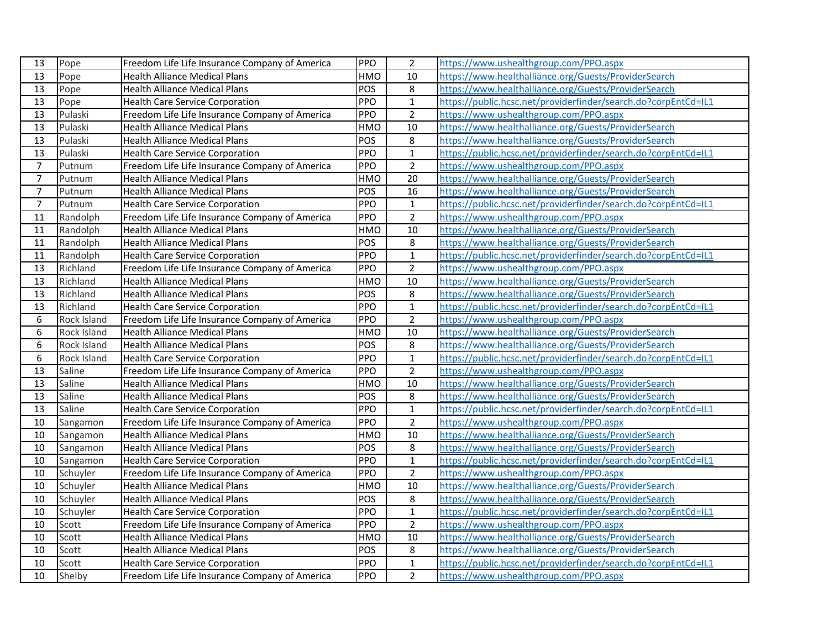| 13             | Pope        | Freedom Life Life Insurance Company of America | PPO        | $\overline{2}$  | https://www.ushealthgroup.com/PPO.aspx                         |
|----------------|-------------|------------------------------------------------|------------|-----------------|----------------------------------------------------------------|
| 13             | Pope        | <b>Health Alliance Medical Plans</b>           | <b>HMO</b> | 10              | https://www.healthalliance.org/Guests/ProviderSearch           |
| 13             | Pope        | <b>Health Alliance Medical Plans</b>           | POS        | 8               | https://www.healthalliance.org/Guests/ProviderSearch           |
| 13             | Pope        | <b>Health Care Service Corporation</b>         | PPO        | $\mathbf{1}$    | https://public.hcsc.net/providerfinder/search.do?corpEntCd=IL1 |
| 13             | Pulaski     | Freedom Life Life Insurance Company of America | <b>PPO</b> | $\overline{2}$  | https://www.ushealthgroup.com/PPO.aspx                         |
| 13             | Pulaski     | <b>Health Alliance Medical Plans</b>           | <b>HMO</b> | 10              | https://www.healthalliance.org/Guests/ProviderSearch           |
| 13             | Pulaski     | <b>Health Alliance Medical Plans</b>           | POS        | 8               | https://www.healthalliance.org/Guests/ProviderSearch           |
| 13             | Pulaski     | <b>Health Care Service Corporation</b>         | PPO        | $\mathbf{1}$    | https://public.hcsc.net/providerfinder/search.do?corpEntCd=IL1 |
| $\overline{7}$ | Putnum      | Freedom Life Life Insurance Company of America | <b>PPO</b> | $\overline{2}$  | https://www.ushealthgroup.com/PPO.aspx                         |
| $\overline{7}$ | Putnum      | <b>Health Alliance Medical Plans</b>           | <b>HMO</b> | 20              | https://www.healthalliance.org/Guests/ProviderSearch           |
| $\overline{7}$ | Putnum      | <b>Health Alliance Medical Plans</b>           | POS        | 16              | https://www.healthalliance.org/Guests/ProviderSearch           |
| $\overline{7}$ | Putnum      | <b>Health Care Service Corporation</b>         | PPO        | $\mathbf{1}$    | https://public.hcsc.net/providerfinder/search.do?corpEntCd=IL1 |
| 11             | Randolph    | Freedom Life Life Insurance Company of America | <b>PPO</b> | $\overline{2}$  | https://www.ushealthgroup.com/PPO.aspx                         |
| 11             | Randolph    | <b>Health Alliance Medical Plans</b>           | <b>HMO</b> | 10              | https://www.healthalliance.org/Guests/ProviderSearch           |
| 11             | Randolph    | <b>Health Alliance Medical Plans</b>           | POS        | 8               | https://www.healthalliance.org/Guests/ProviderSearch           |
| 11             | Randolph    | <b>Health Care Service Corporation</b>         | <b>PPO</b> | $\mathbf{1}$    | https://public.hcsc.net/providerfinder/search.do?corpEntCd=IL1 |
| 13             | Richland    | Freedom Life Life Insurance Company of America | PPO        | $\overline{2}$  | https://www.ushealthgroup.com/PPO.aspx                         |
| 13             | Richland    | <b>Health Alliance Medical Plans</b>           | <b>HMO</b> | $\overline{10}$ | https://www.healthalliance.org/Guests/ProviderSearch           |
| 13             | Richland    | <b>Health Alliance Medical Plans</b>           | POS        | 8               | https://www.healthalliance.org/Guests/ProviderSearch           |
| 13             | Richland    | <b>Health Care Service Corporation</b>         | <b>PPO</b> | $\mathbf{1}$    | https://public.hcsc.net/providerfinder/search.do?corpEntCd=IL1 |
| 6              | Rock Island | Freedom Life Life Insurance Company of America | PPO        | $\overline{2}$  | https://www.ushealthgroup.com/PPO.aspx                         |
| 6              | Rock Island | <b>Health Alliance Medical Plans</b>           | <b>HMO</b> | 10              | https://www.healthalliance.org/Guests/ProviderSearch           |
| 6              | Rock Island | <b>Health Alliance Medical Plans</b>           | POS        | 8               | https://www.healthalliance.org/Guests/ProviderSearch           |
| 6              | Rock Island | <b>Health Care Service Corporation</b>         | PPO        | $\overline{1}$  | https://public.hcsc.net/providerfinder/search.do?corpEntCd=IL1 |
| 13             | Saline      | Freedom Life Life Insurance Company of America | <b>PPO</b> | $\overline{2}$  | https://www.ushealthgroup.com/PPO.aspx                         |
| 13             | Saline      | <b>Health Alliance Medical Plans</b>           | <b>HMO</b> | 10              | https://www.healthalliance.org/Guests/ProviderSearch           |
| 13             | Saline      | <b>Health Alliance Medical Plans</b>           | POS        | 8               | https://www.healthalliance.org/Guests/ProviderSearch           |
| 13             | Saline      | <b>Health Care Service Corporation</b>         | PPO        | $\mathbf{1}$    | https://public.hcsc.net/providerfinder/search.do?corpEntCd=IL1 |
| 10             | Sangamon    | Freedom Life Life Insurance Company of America | PPO        | $\overline{2}$  | https://www.ushealthgroup.com/PPO.aspx                         |
| 10             | Sangamon    | <b>Health Alliance Medical Plans</b>           | <b>HMO</b> | 10              | https://www.healthalliance.org/Guests/ProviderSearch           |
| 10             | Sangamon    | <b>Health Alliance Medical Plans</b>           | POS        | 8               | https://www.healthalliance.org/Guests/ProviderSearch           |
| 10             | Sangamon    | <b>Health Care Service Corporation</b>         | PPO        | $\mathbf{1}$    | https://public.hcsc.net/providerfinder/search.do?corpEntCd=IL1 |
| 10             | Schuyler    | Freedom Life Life Insurance Company of America | <b>PPO</b> | $\overline{2}$  | https://www.ushealthgroup.com/PPO.aspx                         |
| 10             | Schuyler    | <b>Health Alliance Medical Plans</b>           | <b>HMO</b> | 10              | https://www.healthalliance.org/Guests/ProviderSearch           |
| 10             | Schuyler    | <b>Health Alliance Medical Plans</b>           | POS        | 8               | https://www.healthalliance.org/Guests/ProviderSearch           |
| 10             | Schuyler    | <b>Health Care Service Corporation</b>         | <b>PPO</b> | $\mathbf 1$     | https://public.hcsc.net/providerfinder/search.do?corpEntCd=IL1 |
| 10             | Scott       | Freedom Life Life Insurance Company of America | <b>PPO</b> | $\overline{2}$  | https://www.ushealthgroup.com/PPO.aspx                         |
| 10             | Scott       | <b>Health Alliance Medical Plans</b>           | <b>HMO</b> | 10              | https://www.healthalliance.org/Guests/ProviderSearch           |
| 10             | Scott       | <b>Health Alliance Medical Plans</b>           | POS        | 8               | https://www.healthalliance.org/Guests/ProviderSearch           |
| 10             | Scott       | <b>Health Care Service Corporation</b>         | <b>PPO</b> | $\mathbf{1}$    | https://public.hcsc.net/providerfinder/search.do?corpEntCd=IL1 |
| 10             | Shelby      | Freedom Life Life Insurance Company of America | PPO        | $\overline{2}$  | https://www.ushealthgroup.com/PPO.aspx                         |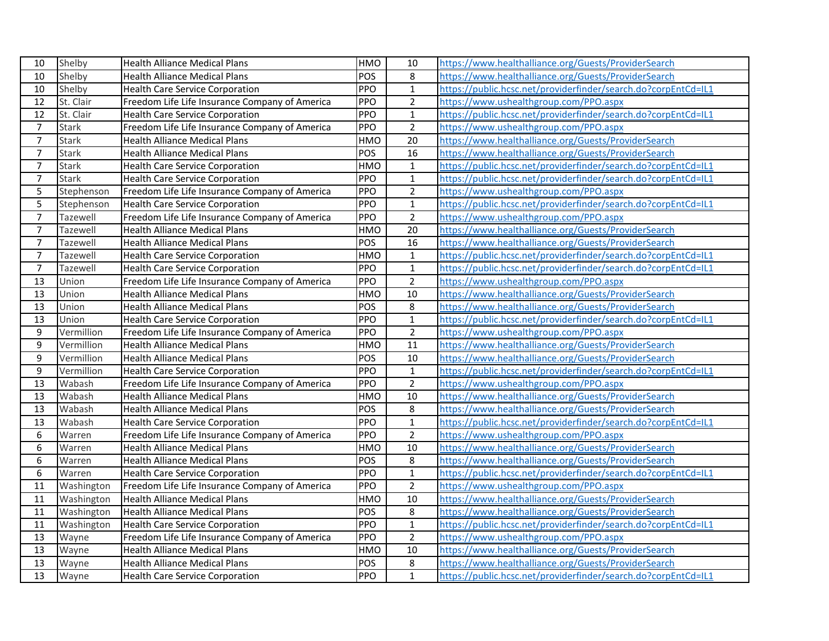| 10             | Shelby          | <b>Health Alliance Medical Plans</b>           | <b>HMO</b> | 10             | https://www.healthalliance.org/Guests/ProviderSearch           |
|----------------|-----------------|------------------------------------------------|------------|----------------|----------------------------------------------------------------|
| 10             | Shelby          | <b>Health Alliance Medical Plans</b>           | POS        | 8              | https://www.healthalliance.org/Guests/ProviderSearch           |
| 10             | Shelby          | <b>Health Care Service Corporation</b>         | PPO        | $\mathbf{1}$   | https://public.hcsc.net/providerfinder/search.do?corpEntCd=IL1 |
| 12             | St. Clair       | Freedom Life Life Insurance Company of America | PPO        | $\overline{2}$ | https://www.ushealthgroup.com/PPO.aspx                         |
| 12             | St. Clair       | <b>Health Care Service Corporation</b>         | PPO        | $\mathbf{1}$   | https://public.hcsc.net/providerfinder/search.do?corpEntCd=IL1 |
| $\overline{7}$ | <b>Stark</b>    | Freedom Life Life Insurance Company of America | PPO        | $\overline{2}$ | https://www.ushealthgroup.com/PPO.aspx                         |
| $\overline{7}$ | <b>Stark</b>    | <b>Health Alliance Medical Plans</b>           | <b>HMO</b> | 20             | https://www.healthalliance.org/Guests/ProviderSearch           |
| $\overline{7}$ | <b>Stark</b>    | <b>Health Alliance Medical Plans</b>           | POS        | 16             | https://www.healthalliance.org/Guests/ProviderSearch           |
| $\overline{7}$ | <b>Stark</b>    | <b>Health Care Service Corporation</b>         | HMO        | $\mathbf{1}$   | https://public.hcsc.net/providerfinder/search.do?corpEntCd=IL1 |
| $\overline{7}$ | <b>Stark</b>    | <b>Health Care Service Corporation</b>         | PPO        | $\mathbf{1}$   | https://public.hcsc.net/providerfinder/search.do?corpEntCd=IL1 |
| 5              | Stephenson      | Freedom Life Life Insurance Company of America | PPO        | $\overline{2}$ | https://www.ushealthgroup.com/PPO.aspx                         |
| 5              | Stephenson      | <b>Health Care Service Corporation</b>         | PPO        | $\mathbf{1}$   | https://public.hcsc.net/providerfinder/search.do?corpEntCd=IL1 |
| $\overline{7}$ | Tazewell        | Freedom Life Life Insurance Company of America | PPO        | $\overline{2}$ | https://www.ushealthgroup.com/PPO.aspx                         |
| $\overline{7}$ | Tazewell        | <b>Health Alliance Medical Plans</b>           | <b>HMO</b> | 20             | https://www.healthalliance.org/Guests/ProviderSearch           |
| $\overline{7}$ | Tazewell        | <b>Health Alliance Medical Plans</b>           | POS        | 16             | https://www.healthalliance.org/Guests/ProviderSearch           |
| $\overline{7}$ | <b>Tazewell</b> | <b>Health Care Service Corporation</b>         | HMO        | $\mathbf{1}$   | https://public.hcsc.net/providerfinder/search.do?corpEntCd=IL1 |
| $\overline{7}$ | Tazewell        | <b>Health Care Service Corporation</b>         | PPO        | $\mathbf{1}$   | https://public.hcsc.net/providerfinder/search.do?corpEntCd=IL1 |
| 13             | Union           | Freedom Life Life Insurance Company of America | PPO        | $\overline{2}$ | https://www.ushealthgroup.com/PPO.aspx                         |
| 13             | Union           | <b>Health Alliance Medical Plans</b>           | <b>HMO</b> | 10             | https://www.healthalliance.org/Guests/ProviderSearch           |
| 13             | Union           | <b>Health Alliance Medical Plans</b>           | POS        | $\,8\,$        | https://www.healthalliance.org/Guests/ProviderSearch           |
| 13             | Union           | <b>Health Care Service Corporation</b>         | PPO        | $\mathbf{1}$   | https://public.hcsc.net/providerfinder/search.do?corpEntCd=IL1 |
| 9              | Vermillion      | Freedom Life Life Insurance Company of America | PPO        | $\overline{2}$ | https://www.ushealthgroup.com/PPO.aspx                         |
| 9              | Vermillion      | <b>Health Alliance Medical Plans</b>           | <b>HMO</b> | 11             | https://www.healthalliance.org/Guests/ProviderSearch           |
| 9              | Vermillion      | <b>Health Alliance Medical Plans</b>           | POS        | 10             | https://www.healthalliance.org/Guests/ProviderSearch           |
| 9              | Vermillion      | <b>Health Care Service Corporation</b>         | PPO        | $\mathbf{1}$   | https://public.hcsc.net/providerfinder/search.do?corpEntCd=IL1 |
| 13             | Wabash          | Freedom Life Life Insurance Company of America | PPO        | $\overline{2}$ | https://www.ushealthgroup.com/PPO.aspx                         |
| 13             | Wabash          | <b>Health Alliance Medical Plans</b>           | <b>HMO</b> | 10             | https://www.healthalliance.org/Guests/ProviderSearch           |
| 13             | Wabash          | <b>Health Alliance Medical Plans</b>           | POS        | 8              | https://www.healthalliance.org/Guests/ProviderSearch           |
| 13             | Wabash          | <b>Health Care Service Corporation</b>         | PPO        | $\mathbf 1$    | https://public.hcsc.net/providerfinder/search.do?corpEntCd=IL1 |
| 6              | Warren          | Freedom Life Life Insurance Company of America | PPO        | $\overline{2}$ | https://www.ushealthgroup.com/PPO.aspx                         |
| 6              | Warren          | <b>Health Alliance Medical Plans</b>           | <b>HMO</b> | 10             | https://www.healthalliance.org/Guests/ProviderSearch           |
| 6              | Warren          | <b>Health Alliance Medical Plans</b>           | POS        | $\,8\,$        | https://www.healthalliance.org/Guests/ProviderSearch           |
| 6              | Warren          | <b>Health Care Service Corporation</b>         | PPO        | $\mathbf 1$    | https://public.hcsc.net/providerfinder/search.do?corpEntCd=IL1 |
| 11             | Washington      | Freedom Life Life Insurance Company of America | PPO        | $\overline{2}$ | https://www.ushealthgroup.com/PPO.aspx                         |
| 11             | Washington      | <b>Health Alliance Medical Plans</b>           | <b>HMO</b> | 10             | https://www.healthalliance.org/Guests/ProviderSearch           |
| 11             | Washington      | <b>Health Alliance Medical Plans</b>           | POS        | $\,8\,$        | https://www.healthalliance.org/Guests/ProviderSearch           |
| 11             | Washington      | <b>Health Care Service Corporation</b>         | PPO        | $\mathbf 1$    | https://public.hcsc.net/providerfinder/search.do?corpEntCd=IL1 |
| 13             | Wayne           | Freedom Life Life Insurance Company of America | PPO        | $\overline{2}$ | https://www.ushealthgroup.com/PPO.aspx                         |
| 13             | Wayne           | <b>Health Alliance Medical Plans</b>           | <b>HMO</b> | 10             | https://www.healthalliance.org/Guests/ProviderSearch           |
| 13             | Wayne           | <b>Health Alliance Medical Plans</b>           | POS        | 8              | https://www.healthalliance.org/Guests/ProviderSearch           |
| 13             | Wayne           | <b>Health Care Service Corporation</b>         | PPO        | $\overline{1}$ | https://public.hcsc.net/providerfinder/search.do?corpEntCd=IL1 |